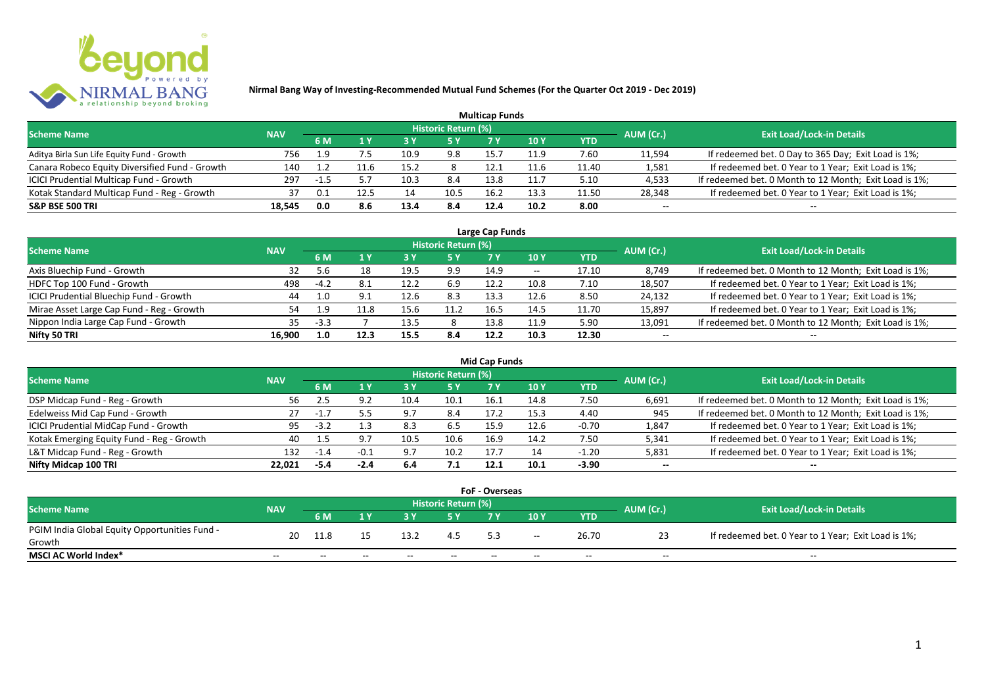

| <b>Multicap Funds</b>                          |            |        |      |      |                            |      |                 |       |           |                                                        |  |  |  |
|------------------------------------------------|------------|--------|------|------|----------------------------|------|-----------------|-------|-----------|--------------------------------------------------------|--|--|--|
| <b>Scheme Name</b>                             | <b>NAV</b> |        |      |      | <b>Historic Return (%)</b> |      |                 |       | AUM (Cr.) | <b>Exit Load/Lock-in Details</b>                       |  |  |  |
|                                                |            | 6 M    |      | 73 Y |                            |      | 10 <sub>Y</sub> | YTD   |           |                                                        |  |  |  |
| Aditya Birla Sun Life Equity Fund - Growth     | 756        | 1.9    |      | 10.9 | 9.8                        | 15.7 | 11.9            | 7.60  | 11,594    | If redeemed bet. 0 Day to 365 Day; Exit Load is 1%;    |  |  |  |
| Canara Robeco Equity Diversified Fund - Growth | 140        |        | 11.6 | 15.2 |                            | 12.1 | 11.6            | 11.40 | 1,581     | If redeemed bet. 0 Year to 1 Year; Exit Load is 1%;    |  |  |  |
| ICICI Prudential Multicap Fund - Growth        | 297        | $-1.5$ |      | 10.3 | 8.4                        | 13.8 | 11.7            | 5.10  | 4,533     | If redeemed bet. 0 Month to 12 Month; Exit Load is 1%; |  |  |  |
| Kotak Standard Multicap Fund - Reg - Growth    | 37         | 0.1    | 12.5 | 14   | 10.5                       | 16.2 | 13.3            | 11.50 | 28,348    | If redeemed bet. 0 Year to 1 Year; Exit Load is 1%;    |  |  |  |
| <b>S&amp;P BSE 500 TRI</b>                     | 18,545     | 0.0    | 8.6  | 13.4 | 8.4                        | 12.4 | 10.2            | 8.00  | $- -$     | --                                                     |  |  |  |

| Large Cap Funds                           |            |        |      |      |                            |      |            |       |           |                                                        |  |
|-------------------------------------------|------------|--------|------|------|----------------------------|------|------------|-------|-----------|--------------------------------------------------------|--|
| <b>Scheme Name</b>                        | <b>NAV</b> |        |      |      | <b>Historic Return (%)</b> |      |            |       | AUM (Cr.) | <b>Exit Load/Lock-in Details</b>                       |  |
|                                           |            | 6 M    |      |      | 5 Y                        |      | <b>10Y</b> | YTD   |           |                                                        |  |
| Axis Bluechip Fund - Growth               | 32         |        | 18   | 19.5 | 9.9                        | 14.9 | $- -$      | 17.10 | 8,749     | If redeemed bet. 0 Month to 12 Month; Exit Load is 1%; |  |
| HDFC Top 100 Fund - Growth                | 498        | $-4.2$ | 8.1  | 12.2 | 6.9                        | 12.2 | 10.8       | 7.10  | 18,507    | If redeemed bet. 0 Year to 1 Year; Exit Load is 1%;    |  |
| ICICI Prudential Bluechip Fund - Growth   | 44         | 1.0    | 9.1  | 12.6 | 8.3                        | 13.3 | 12.6       | 8.50  | 24,132    | If redeemed bet. 0 Year to 1 Year; Exit Load is 1%;    |  |
| Mirae Asset Large Cap Fund - Reg - Growth | 54         | 1.9    | L1.8 | 15.6 | 11.2                       | 16.5 | 14.5       | 11.70 | 15,897    | If redeemed bet. 0 Year to 1 Year; Exit Load is 1%;    |  |
| Nippon India Large Cap Fund - Growth      | 35         | $-3.3$ |      | 13.5 |                            | 13.8 | 11.9       | 5.90  | 13,091    | If redeemed bet. 0 Month to 12 Month; Exit Load is 1%; |  |
| Nifty 50 TRI                              | 16.900     | 1.0    | 12.3 | 15.5 | 8.4                        | 12.2 | 10.3       | 12.30 | $- -$     | $- -$                                                  |  |

|                                           | <b>Mid Cap Funds</b> |        |        |      |                            |      |      |            |           |                                                        |  |  |  |
|-------------------------------------------|----------------------|--------|--------|------|----------------------------|------|------|------------|-----------|--------------------------------------------------------|--|--|--|
| <b>Scheme Name</b>                        | <b>NAV</b>           |        |        |      | <b>Historic Return (%)</b> |      |      |            | AUM (Cr.) | <b>Exit Load/Lock-in Details</b>                       |  |  |  |
|                                           |                      | 6 M    |        |      | 5 Y                        | 7 Y  | 10 Y | <b>YTD</b> |           |                                                        |  |  |  |
| DSP Midcap Fund - Reg - Growth            | 56                   | -4.5   | 9.2    | 10.4 | 10.1                       | 16.1 | 14.8 | 7.50       | 6,691     | If redeemed bet. 0 Month to 12 Month; Exit Load is 1%; |  |  |  |
| Edelweiss Mid Cap Fund - Growth           | 27                   | $-1.7$ |        | 9.7  | 8.4                        | 17.2 | 15.3 | 4.40       | 945       | If redeemed bet. 0 Month to 12 Month; Exit Load is 1%; |  |  |  |
| ICICI Prudential MidCap Fund - Growth     | 95                   | $-3.2$ |        | 8.3  | 6.5                        | 15.9 | 12.F | $-0.70$    | 1,847     | If redeemed bet. 0 Year to 1 Year; Exit Load is 1%;    |  |  |  |
| Kotak Emerging Equity Fund - Reg - Growth | 40                   |        |        | 10.5 | 10.6                       | 16.9 | 14.2 | 7.50       | 5,341     | If redeemed bet. 0 Year to 1 Year; Exit Load is 1%;    |  |  |  |
| L&T Midcap Fund - Reg - Growth            | 132                  | $-1.4$ | $-0.1$ | 9.7  | 10.2                       | 17.  |      | $-1.20$    | 5,831     | If redeemed bet. 0 Year to 1 Year; Exit Load is 1%;    |  |  |  |
| Nifty Midcap 100 TRI                      | 22.021               | $-5.4$ | -2.4   | 6.4  | 7.1                        | 12.1 | 10.1 | $-3.90$    | $- -$     | $- -$                                                  |  |  |  |

| <b>FoF - Overseas</b>                         |            |       |       |       |                     |     |       |            |           |                                                     |  |  |  |
|-----------------------------------------------|------------|-------|-------|-------|---------------------|-----|-------|------------|-----------|-----------------------------------------------------|--|--|--|
| <b>Scheme Name</b>                            | <b>NAV</b> |       |       |       | Historic Return (%) |     |       |            |           | <b>Exit Load/Lock-in Details</b>                    |  |  |  |
|                                               |            | 6 M   |       |       |                     |     | 10Y   | <b>YTD</b> | AUM (Cr.) |                                                     |  |  |  |
| PGIM India Global Equity Opportunities Fund - | 20         | 11.8  |       | 13.2  |                     | 53  | $- -$ | 26.70      |           | If redeemed bet. 0 Year to 1 Year; Exit Load is 1%; |  |  |  |
| Growth                                        |            |       |       |       |                     |     |       |            |           |                                                     |  |  |  |
| <b>MSCI AC World Index*</b>                   | $- -$      | $- -$ | $- -$ | $- -$ | $- -$               | $-$ | $- -$ | $- -$      | $- -$     | $- -$                                               |  |  |  |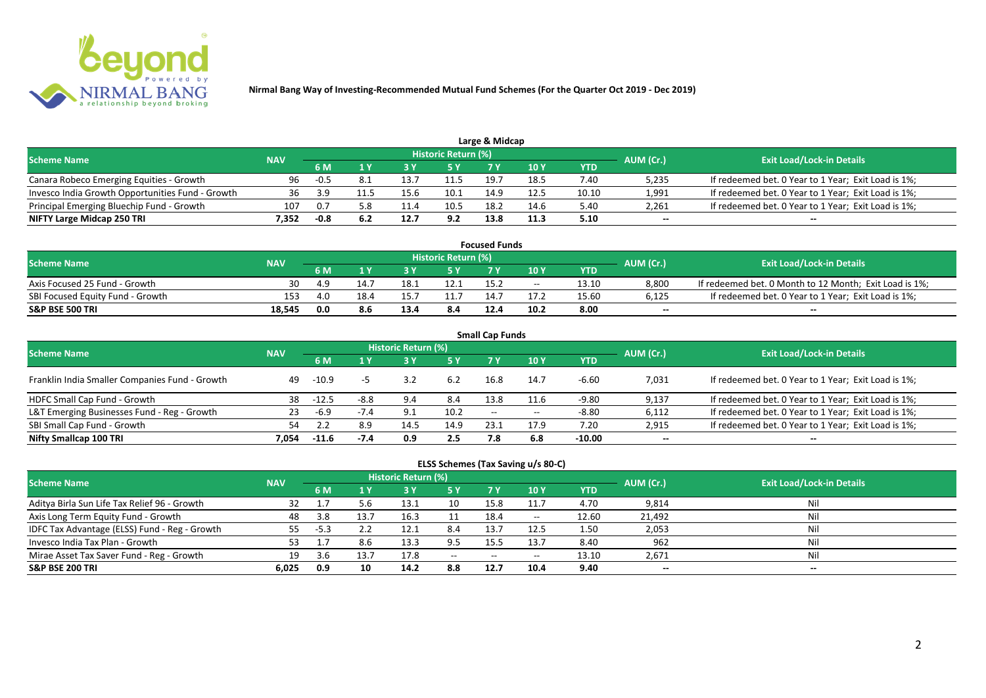

| Large & Midcap                                   |            |        |     |      |                     |      |      |       |           |                                                     |  |  |
|--------------------------------------------------|------------|--------|-----|------|---------------------|------|------|-------|-----------|-----------------------------------------------------|--|--|
| <b>Scheme Name</b>                               | <b>NAV</b> |        |     |      | Historic Return (%) |      |      |       | AUM (Cr.) | <b>Exit Load/Lock-in Details</b>                    |  |  |
|                                                  |            |        |     |      | 5 Y                 |      | 10Y  | YTD   |           |                                                     |  |  |
| Canara Robeco Emerging Equities - Growth         | 96         | $-0.5$ |     |      | 11.5                | 19.  | 18.5 | 7.40  | 5,235     | If redeemed bet. 0 Year to 1 Year; Exit Load is 1%; |  |  |
| Invesco India Growth Opportunities Fund - Growth | 36         | 3.9    |     | 15.6 | 10.1                | 14.9 | 12.5 | 10.10 | 1,991     | If redeemed bet. 0 Year to 1 Year; Exit Load is 1%; |  |  |
| Principal Emerging Bluechip Fund - Growth        | 107        | 0.7    | 5.8 |      | 10.5                | 18.2 | 14.6 | 5.40  | 2,261     | If redeemed bet. 0 Year to 1 Year; Exit Load is 1%; |  |  |
| NIFTY Large Midcap 250 TRI                       | 4.352      | -0.8   |     | 12.7 | 9.2                 | 13.8 | 11.3 | 5.10  | $- -$     | $- -$                                               |  |  |

| <b>Focused Funds</b>             |        |      |      |      |                            |      |            |       |           |                                                        |  |  |
|----------------------------------|--------|------|------|------|----------------------------|------|------------|-------|-----------|--------------------------------------------------------|--|--|
| <b>Scheme Name</b>               |        |      |      |      | <b>Historic Return (%)</b> |      |            |       | AUM (Cr.) |                                                        |  |  |
| <b>NAV</b>                       |        | 6 M  |      |      | 5 Y                        |      | <b>10Y</b> | YTD   |           | <b>Exit Load/Lock-in Details</b>                       |  |  |
| Axis Focused 25 Fund - Growth    | 30     | -4.9 | 14.  | 18.  | 12.1                       | 15.2 | $- -$      | 13.10 | 8,800     | If redeemed bet. 0 Month to 12 Month; Exit Load is 1%; |  |  |
| SBI Focused Equity Fund - Growth | 153    | 4.0  | 18.4 |      |                            |      |            | 15.60 | 6,125     | If redeemed bet. 0 Year to 1 Year; Exit Load is 1%;    |  |  |
| <b>S&amp;P BSE 500 TRI</b>       | 18.545 | 0.0  | 8.6  | 13.4 | 8.4                        | 12.4 | 10.2       | 8.00  | $- -$     | $- -$                                                  |  |  |

| <b>Small Cap Funds</b>                         |            |         |        |                     |      |       |            |            |           |                                                     |  |  |
|------------------------------------------------|------------|---------|--------|---------------------|------|-------|------------|------------|-----------|-----------------------------------------------------|--|--|
| <b>Scheme Name</b>                             | <b>NAV</b> |         |        | Historic Return (%) |      |       |            |            | AUM (Cr.) | <b>Exit Load/Lock-in Details</b>                    |  |  |
|                                                |            | 6 M     | 1 Y    | <b>3Y</b>           | 5 Y  | 7 Y   | <b>10Y</b> | <b>YTD</b> |           |                                                     |  |  |
| Franklin India Smaller Companies Fund - Growth | 49         | $-10.9$ |        | 3.2                 | 6.2  | 16.8  | 14.7       | $-6.60$    | 7,031     | If redeemed bet. 0 Year to 1 Year; Exit Load is 1%; |  |  |
| HDFC Small Cap Fund - Growth                   | 38         | $-12.5$ | $-8.8$ | 9.4                 | 8.4  | 13.8  | 11.6       | -9.80      | 9,137     | If redeemed bet. 0 Year to 1 Year; Exit Load is 1%; |  |  |
| L&T Emerging Businesses Fund - Reg - Growth    | 23         | $-6.9$  | $-7.4$ | 9.1                 | 10.2 | $- -$ | $- -$      | $-8.80$    | 6,112     | If redeemed bet. 0 Year to 1 Year; Exit Load is 1%; |  |  |
| SBI Small Cap Fund - Growth                    | 54         |         | 8.9    | 14.5                | 14.9 | 23.1  | 17.9       | 7.20       | 2,915     | If redeemed bet. 0 Year to 1 Year; Exit Load is 1%; |  |  |
| Nifty Smallcap 100 TRI                         | 7.054      | $-11.6$ | -7.4   | 0.9                 | 2.5  | 7.8   | 6.8        | $-10.00$   | $- -$     | $- -$                                               |  |  |

| ELSS Schemes (Tax Saving u/s 80-C) |  |  |
|------------------------------------|--|--|
|------------------------------------|--|--|

| <b>Scheme Name</b>                            | <b>NAV</b> |        |      | <b>Historic Return (%)</b> |           |                |                          |            | AUM (Cr.) | <b>Exit Load/Lock-in Details</b> |
|-----------------------------------------------|------------|--------|------|----------------------------|-----------|----------------|--------------------------|------------|-----------|----------------------------------|
|                                               |            | 6 M    | 1 V  |                            | <b>5Y</b> | 7 <sub>Y</sub> | 10Y                      | <b>YTD</b> |           |                                  |
| Aditya Birla Sun Life Tax Relief 96 - Growth  |            |        |      | 13.1                       |           | 15.8           |                          | 4.70       | 9,814     | Nil                              |
| Axis Long Term Equity Fund - Growth           | 48         | 3.8    | 13.7 | 16.3                       |           | 18.4           | $\overline{\phantom{m}}$ | 12.60      | 21.492    | Nil                              |
| IDFC Tax Advantage (ELSS) Fund - Reg - Growth | 55         | $-5.3$ |      | 12.1                       | 8.4       | 13.7           | 12.5                     | 1.50       | 2,053     | Nil                              |
| Invesco India Tax Plan - Growth               | 53.        |        | 8.6  | 13.3                       | 9.5       |                | 13.7                     | 8.40       | 962       | Nil                              |
| Mirae Asset Tax Saver Fund - Reg - Growth     | 19         |        | 13.7 | 17.8                       | $ -$      | $-$            | $\overline{\phantom{m}}$ | 13.10      | 2,671     | Nil                              |
| <b>S&amp;P BSE 200 TRI</b>                    | 6.025      | 0.9    | 10   | 14.2                       | 8.8       | 12.7           | 10.4                     | 9.40       | $- -$     | $- -$                            |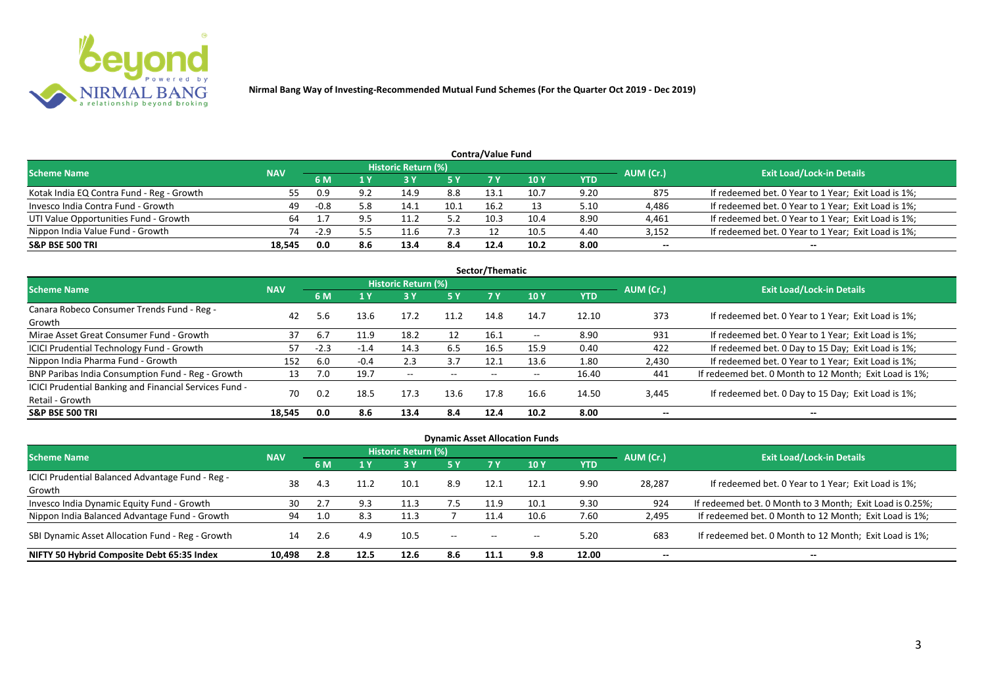

| <b>Contra/Value Fund</b>                  |            |        |     |                     |      |      |      |      |           |                                                     |  |  |
|-------------------------------------------|------------|--------|-----|---------------------|------|------|------|------|-----------|-----------------------------------------------------|--|--|
| <b>Scheme Name</b>                        | <b>NAV</b> |        |     | Historic Return (%) |      |      |      |      | AUM (Cr.) | <b>Exit Load/Lock-in Details</b>                    |  |  |
|                                           |            | 6 M    | 1 Y |                     | 5 Y  | 7 Y  | 10Y  | YTD  |           |                                                     |  |  |
| Kotak India EQ Contra Fund - Reg - Growth | 55         | 0.9    | 9.2 | 14.9                | 8.8  | 13.1 | 10.7 | 9.20 | 875       | If redeemed bet. 0 Year to 1 Year; Exit Load is 1%; |  |  |
| Invesco India Contra Fund - Growth        | 49         | $-0.8$ | 5.8 | 14.1                | 10.1 | 16.2 |      | 5.10 | 4,486     | If redeemed bet. 0 Year to 1 Year; Exit Load is 1%; |  |  |
| UTI Value Opportunities Fund - Growth     | 64         |        |     | 11.7                | 5.2  | 10.3 | 10.4 | 8.90 | 4,461     | If redeemed bet. 0 Year to 1 Year; Exit Load is 1%; |  |  |
| Nippon India Value Fund - Growth          | 74         | $-2.9$ |     | 11.6                | 7.3  |      | 10.5 | 4.40 | 3,152     | If redeemed bet. 0 Year to 1 Year; Exit Load is 1%; |  |  |
| <b>S&amp;P BSE 500 TRI</b>                | 18.545     | 0.0    | 8.6 | 13.4                | 8.4  | 12.4 | 10.2 | 8.00 | --        | $-$                                                 |  |  |

|                                                        |            |        |        |                     |       | Sector/Thematic |               |            |           |                                                        |
|--------------------------------------------------------|------------|--------|--------|---------------------|-------|-----------------|---------------|------------|-----------|--------------------------------------------------------|
| <b>Scheme Name</b>                                     | <b>NAV</b> |        |        | Historic Return (%) |       |                 |               |            | AUM (Cr.) | <b>Exit Load/Lock-in Details</b>                       |
|                                                        |            | 6 M    | 1 Y    | 73 Y                | 5 Y   | 7 Y             | <b>10Y</b>    | <b>YTD</b> |           |                                                        |
| Canara Robeco Consumer Trends Fund - Reg -             | 42         |        |        | 17.2                | 11.2  | 14.8            | 14.7          |            | 373       |                                                        |
| Growth                                                 |            | 5.6    | 13.6   |                     |       |                 |               | 12.10      |           | If redeemed bet. 0 Year to 1 Year; Exit Load is 1%;    |
| Mirae Asset Great Consumer Fund - Growth               | 37         | -6.7   | 11.9   | 18.2                | 12    | 16.1            | $\sim$ $\sim$ | 8.90       | 931       | If redeemed bet. 0 Year to 1 Year; Exit Load is 1%;    |
| <b>ICICI Prudential Technology Fund - Growth</b>       | 57         | $-2.3$ | $-1.4$ | 14.3                | 6.5   | 16.5            | 15.9          | 0.40       | 422       | If redeemed bet. 0 Day to 15 Day; Exit Load is 1%;     |
| Nippon India Pharma Fund - Growth                      | 152        | 6.0    | $-0.4$ | 2.3                 | 3.7   | 12.1            | 13.6          | 1.80       | 2,430     | If redeemed bet. 0 Year to 1 Year; Exit Load is 1%;    |
| BNP Paribas India Consumption Fund - Reg - Growth      | 13         | 7.0    | 19.7   | $- -$               | $- -$ | $- -$           | $- -$         | 16.40      | 441       | If redeemed bet. 0 Month to 12 Month; Exit Load is 1%; |
| ICICI Prudential Banking and Financial Services Fund - | 70         | 0.2    | 18.5   | 17.3                | 13.6  | 17.8            | 16.6          |            |           |                                                        |
| Retail - Growth                                        |            |        |        |                     |       |                 |               | 14.50      | 3,445     | If redeemed bet. 0 Day to 15 Day; Exit Load is 1%;     |
| <b>S&amp;P BSE 500 TRI</b>                             | 18.545     | 0.0    | 8.6    | 13.4                | 8.4   | 12.4            | 10.2          | 8.00       | $- -$     | $- -$                                                  |

| <b>Dynamic Asset Allocation Funds</b>                      |            |     |      |                            |           |      |            |            |           |                                                          |  |  |
|------------------------------------------------------------|------------|-----|------|----------------------------|-----------|------|------------|------------|-----------|----------------------------------------------------------|--|--|
| <b>Scheme Name</b>                                         | <b>NAV</b> |     |      | <b>Historic Return (%)</b> |           |      |            |            | AUM (Cr.) | <b>Exit Load/Lock-in Details</b>                         |  |  |
|                                                            |            | 6 M |      | <b>3 Y</b>                 | <b>5Y</b> | 7 Y  | <b>10Y</b> | <b>YTD</b> |           |                                                          |  |  |
| ICICI Prudential Balanced Advantage Fund - Reg -<br>Growth | 38         | 4.3 |      | 10.1                       | 8.9       | 12.1 | 12.1       | 9.90       | 28,287    | If redeemed bet. 0 Year to 1 Year; Exit Load is 1%;      |  |  |
| Invesco India Dynamic Equity Fund - Growth                 | 30         |     | 9.3  |                            | 7.5       | 11.9 | 10.1       | 9.30       | 924       | If redeemed bet. 0 Month to 3 Month; Exit Load is 0.25%; |  |  |
| Nippon India Balanced Advantage Fund - Growth              | 94         |     | 8.3  |                            |           | 11.4 | 10.6       | 7.60       | 2,495     | If redeemed bet. 0 Month to 12 Month; Exit Load is 1%;   |  |  |
| SBI Dynamic Asset Allocation Fund - Reg - Growth           | 14         | 2.6 | 4.9  | 10.5                       | $- -$     | $-$  |            | 5.20       | 683       | If redeemed bet. 0 Month to 12 Month; Exit Load is 1%;   |  |  |
| NIFTY 50 Hybrid Composite Debt 65:35 Index                 | 10,498     | 2.8 | 12.5 | 12.6                       | 8.6       | 11.1 | 9.8        | 12.00      | $- -$     | $- -$                                                    |  |  |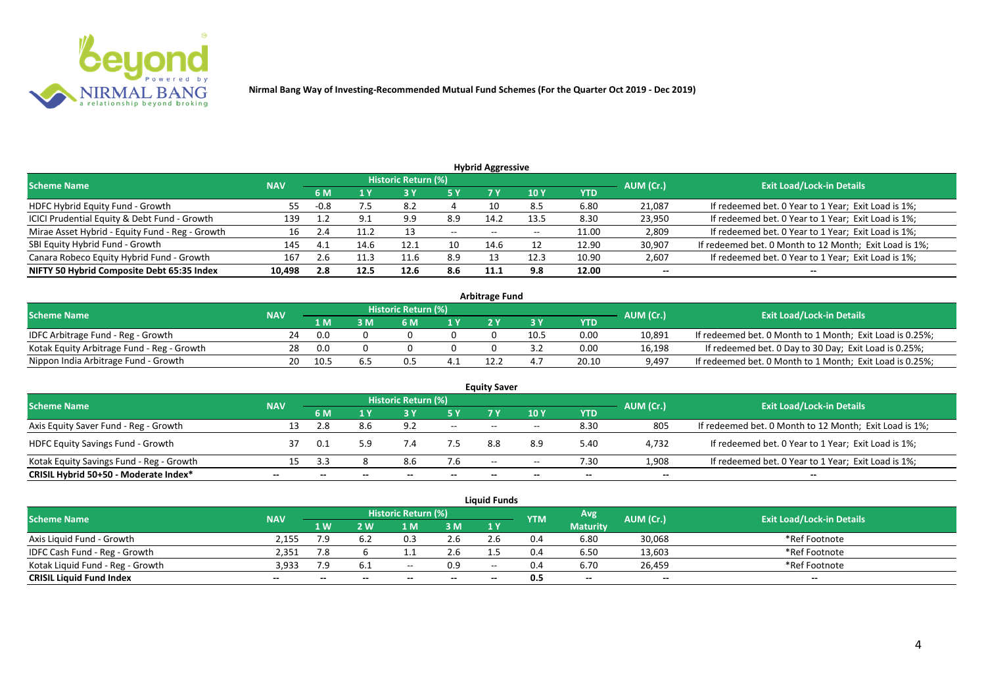

| <b>Hybrid Aggressive</b>                        |            |        |      |                            |       |                          |                 |            |           |                                                        |  |  |  |  |
|-------------------------------------------------|------------|--------|------|----------------------------|-------|--------------------------|-----------------|------------|-----------|--------------------------------------------------------|--|--|--|--|
| <b>Scheme Name</b>                              | <b>NAV</b> |        |      | <b>Historic Return (%)</b> |       |                          |                 |            | AUM (Cr.) | <b>Exit Load/Lock-in Details</b>                       |  |  |  |  |
|                                                 |            | 6 M    |      |                            | 5 Y   |                          | 10 <sub>1</sub> | <b>YTD</b> |           |                                                        |  |  |  |  |
| HDFC Hybrid Equity Fund - Growth                | 55         | $-0.8$ | 7.5  | 8.2                        |       |                          | 8.5             | 6.80       | 21,087    | If redeemed bet. 0 Year to 1 Year; Exit Load is 1%;    |  |  |  |  |
| ICICI Prudential Equity & Debt Fund - Growth    | 139        |        | Q 1  | 9.9                        | 8.9   | 14.2                     | 13.5            | 8.30       | 23,950    | If redeemed bet. 0 Year to 1 Year; Exit Load is 1%;    |  |  |  |  |
| Mirae Asset Hybrid - Equity Fund - Reg - Growth | 16         | 2.4    | 11.2 |                            | $- -$ | $\overline{\phantom{a}}$ | $- -$           | 11.00      | 2,809     | If redeemed bet. 0 Year to 1 Year; Exit Load is 1%;    |  |  |  |  |
| SBI Equity Hybrid Fund - Growth                 | 145        | 4.1    | 14.6 | 12.1                       | 10    | 14.6                     |                 | 12.90      | 30,907    | If redeemed bet. 0 Month to 12 Month; Exit Load is 1%; |  |  |  |  |
| Canara Robeco Equity Hybrid Fund - Growth       | 167        | 2.b    |      | 11.6                       | 8.9   |                          | 12.3            | 10.90      | 2,607     | If redeemed bet. 0 Year to 1 Year; Exit Load is 1%;    |  |  |  |  |
| NIFTY 50 Hybrid Composite Debt 65:35 Index      | 10,498     | 2.8    | 12.5 | 12.6                       | 8.6   | 11.1                     | 9.8             | 12.00      | $- -$     | $- -$                                                  |  |  |  |  |

| <b>Arbitrage Fund</b>                      |            |      |  |                     |     |  |      |            |           |                                                          |  |  |  |
|--------------------------------------------|------------|------|--|---------------------|-----|--|------|------------|-----------|----------------------------------------------------------|--|--|--|
| <b>Scheme Name</b>                         | <b>NAV</b> |      |  | Historic Return (%) |     |  |      |            | AUM (Cr.) | <b>Exit Load/Lock-in Details</b>                         |  |  |  |
|                                            |            | 1 M  |  | ና M                 | 4 V |  |      | <b>YTD</b> |           |                                                          |  |  |  |
| IDFC Arbitrage Fund - Reg - Growth         |            | 0.0  |  |                     |     |  | 10.5 | 0.00       | 10.891    | If redeemed bet. 0 Month to 1 Month; Exit Load is 0.25%; |  |  |  |
| Kotak Equity Arbitrage Fund - Reg - Growth | 28         | 0.0  |  |                     |     |  |      | 0.00       | 16,198    | If redeemed bet. 0 Day to 30 Day; Exit Load is 0.25%;    |  |  |  |
| Nippon India Arbitrage Fund - Growth       |            | 10.5 |  |                     |     |  |      | 20.10      | 9,497     | If redeemed bet. 0 Month to 1 Month; Exit Load is 0.25%; |  |  |  |

| <b>Equity Saver</b><br><b>Historic Return (%)</b><br><b>Exit Load/Lock-in Details</b><br><b>Scheme Name</b><br>AUM (Cr.)<br><b>NAV</b> |    |      |     |     |       |       |       |      |       |                                                        |  |  |  |  |
|----------------------------------------------------------------------------------------------------------------------------------------|----|------|-----|-----|-------|-------|-------|------|-------|--------------------------------------------------------|--|--|--|--|
|                                                                                                                                        |    | 6 M  |     |     | 5 Y   |       | 10Y   | YTD  |       |                                                        |  |  |  |  |
| Axis Equity Saver Fund - Reg - Growth                                                                                                  | 13 |      | 8.6 | 9.2 | $ -$  | $- -$ | $- -$ | 8.30 | 805   | If redeemed bet. 0 Month to 12 Month; Exit Load is 1%; |  |  |  |  |
| <b>HDFC Equity Savings Fund - Growth</b>                                                                                               |    | 0.1  | 5.9 | 7.4 |       | 8.8   | 8.9   | 5.40 | 4,732 | If redeemed bet. 0 Year to 1 Year; Exit Load is 1%;    |  |  |  |  |
| Kotak Equity Savings Fund - Reg - Growth                                                                                               | 15 | - 31 |     |     | 7.6   | $-$   | $- -$ | 7.30 | 1,908 | If redeemed bet. 0 Year to 1 Year; Exit Load is 1%;    |  |  |  |  |
| CRISIL Hybrid 50+50 - Moderate Index*                                                                                                  | -- |      |     |     | $- -$ | $- -$ | --    | $-$  | $- -$ | $-$                                                    |  |  |  |  |

| <b>Liquid Funds</b>              |            |                |       |                            |       |       |            |                 |                          |                                  |  |  |  |
|----------------------------------|------------|----------------|-------|----------------------------|-------|-------|------------|-----------------|--------------------------|----------------------------------|--|--|--|
| <b>Scheme Name</b>               | <b>NAV</b> |                |       | <b>Historic Return (%)</b> |       |       | <b>YTM</b> | Avg             | AUM (Cr.)                | <b>Exit Load/Lock-in Details</b> |  |  |  |
|                                  |            | 1 <sub>W</sub> | 2 W   |                            | 3M    | 1 Y   |            | <b>Maturity</b> |                          |                                  |  |  |  |
| Axis Liquid Fund - Growth        | 2,155      | 7.9            | 6.2   |                            | 2.6   |       | 0.4        | 6.80            | 30,068                   | *Ref Footnote                    |  |  |  |
| IDFC Cash Fund - Reg - Growth    | 2.351      |                |       |                            | 2.6   |       | 0.4        | 6.50            | 13,603                   | *Ref Footnote                    |  |  |  |
| Kotak Liquid Fund - Reg - Growth | 3.933      | 7.9            | 6.1   | $- -$                      | 0.9   | $- -$ |            | 6.70            | 26,459                   | *Ref Footnote                    |  |  |  |
| <b>CRISIL Liquid Fund Index</b>  | $- -$      | $-$            | $- -$ | $- -$                      | $- -$ | $- -$ | 0.5        | $-$             | $\overline{\phantom{a}}$ | $- -$                            |  |  |  |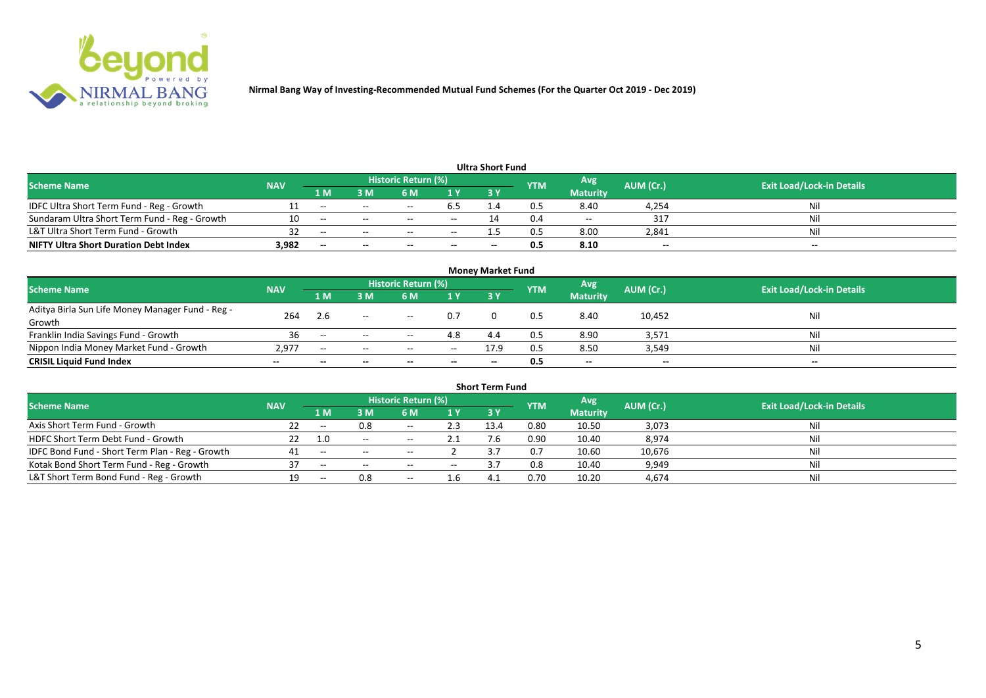

| <b>Ultra Short Fund</b>                       |            |       |        |                     |        |      |            |                 |                          |                                  |  |  |  |
|-----------------------------------------------|------------|-------|--------|---------------------|--------|------|------------|-----------------|--------------------------|----------------------------------|--|--|--|
| <b>Scheme Name</b>                            | <b>NAV</b> |       |        | Historic Return (%) |        |      | <b>YTM</b> | Avg             | AUM (Cr.)                | <b>Exit Load/Lock-in Details</b> |  |  |  |
|                                               |            | 1 M   | M      | 6 M                 | 1 Y    | 73 Y |            | <b>Maturity</b> |                          |                                  |  |  |  |
| IDFC Ultra Short Term Fund - Reg - Growth     |            | $- -$ |        |                     | 6.5    |      | 0.5        | 8.40            | 4,254                    | Nil                              |  |  |  |
| Sundaram Ultra Short Term Fund - Reg - Growth |            | $- -$ | $- -$  |                     | $- -$  |      |            | $- -$           | -317                     | Nil                              |  |  |  |
| L&T Ultra Short Term Fund - Growth            |            | $-$   | $\sim$ | $-$                 | $\sim$ |      |            | 8.00            | 2,841                    | Nil                              |  |  |  |
| <b>NIFTY Ultra Short Duration Debt Index</b>  | 3,982      | $- -$ | $- -$  | $- -$               | $- -$  | --   |            | 8.10            | $\overline{\phantom{a}}$ | $-$                              |  |  |  |

| <b>Money Market Fund</b>                         |            |                |                          |                     |       |           |            |                 |           |                                  |  |  |  |
|--------------------------------------------------|------------|----------------|--------------------------|---------------------|-------|-----------|------------|-----------------|-----------|----------------------------------|--|--|--|
| <b>Scheme Name</b>                               | <b>NAV</b> |                |                          | Historic Return (%) |       |           | <b>YTM</b> | Avg             | AUM (Cr.) | <b>Exit Load/Lock-in Details</b> |  |  |  |
|                                                  |            | 1 <sub>M</sub> | ١M                       | 6 M                 | 1Y    | <b>3Y</b> |            | <b>Maturity</b> |           |                                  |  |  |  |
| Aditya Birla Sun Life Money Manager Fund - Reg - | 264        | 2.6            | $\overline{\phantom{a}}$ | $\sim$ $ -$         | 0.7   |           | 0.5        | 8.40            | 10,452    | Nil                              |  |  |  |
| Growth                                           |            |                |                          |                     |       |           |            |                 |           |                                  |  |  |  |
| Franklin India Savings Fund - Growth             | 36         | $- -$          | $  \,$                   | $- -$               | 4.8   | 4.4       | 0.5        | 8.90            | 3,571     | Nil                              |  |  |  |
| Nippon India Money Market Fund - Growth          | 2.977      | $- -$          | $- -$                    | $- -$               | $- -$ | 17.9      | 0.5        | 8.50            | 3,549     | Nil                              |  |  |  |
| <b>CRISIL Liquid Fund Index</b>                  |            |                |                          |                     | $- -$ | $- -$     | 0.5        | $-$             | $- -$     | $- -$                            |  |  |  |

| <b>Short Term Fund</b>                          |            |       |        |                            |               |            |            |                 |           |                                  |  |  |  |
|-------------------------------------------------|------------|-------|--------|----------------------------|---------------|------------|------------|-----------------|-----------|----------------------------------|--|--|--|
| <b>Scheme Name</b>                              | <b>NAV</b> |       |        | <b>Historic Return (%)</b> |               |            | <b>YTM</b> | Avg             | AUM (Cr.) | <b>Exit Load/Lock-in Details</b> |  |  |  |
|                                                 |            | 1 M   | ነ M    | 6 M                        | <b>1Y</b>     | <b>3 Y</b> |            | <b>Maturity</b> |           |                                  |  |  |  |
| Axis Short Term Fund - Growth                   |            | $- -$ | 0.8    | $- -$                      | 2.3           | 13.4       | 0.80       | 10.50           | 3,073     | Nil                              |  |  |  |
| HDFC Short Term Debt Fund - Growth              |            | 1.0   | $  \,$ | $- -$                      | 2.1           |            | 0.90       | 10.40           | 8,974     | Nil                              |  |  |  |
| IDFC Bond Fund - Short Term Plan - Reg - Growth |            | $- -$ | $  \,$ | $- -$                      |               |            | 0.7        | 10.60           | 10,676    | Nii                              |  |  |  |
| Kotak Bond Short Term Fund - Reg - Growth       | 27         | $- -$ | $- -$  | $- -$                      | $\sim$ $\sim$ |            | 0.8        | 10.40           | 9,949     | Nil                              |  |  |  |
| L&T Short Term Bond Fund - Reg - Growth         | 19         | $- -$ | 0.8    | $- -$                      | 1.b           |            | 0.70       | 10.20           | 4,674     | Nil                              |  |  |  |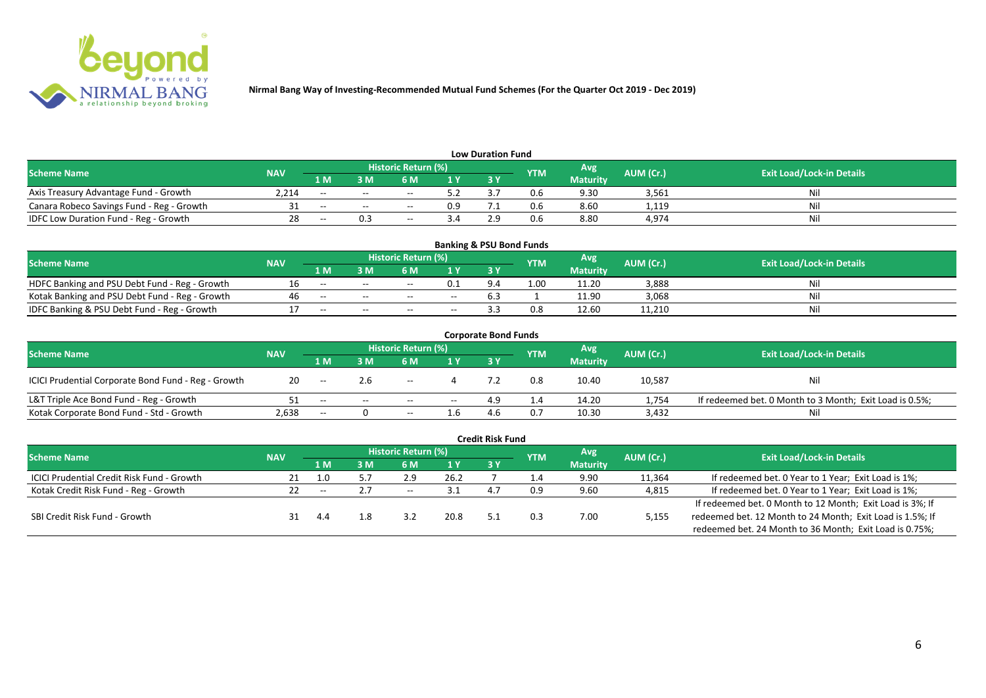

| <b>Low Duration Fund</b>                  |            |       |        |                            |              |  |            |                 |           |                                  |  |  |  |
|-------------------------------------------|------------|-------|--------|----------------------------|--------------|--|------------|-----------------|-----------|----------------------------------|--|--|--|
| <b>Scheme Name</b>                        | <b>NAV</b> |       |        | <b>Historic Return (%)</b> |              |  | <b>YTM</b> | Avg             | AUM (Cr.) | <b>Exit Load/Lock-in Details</b> |  |  |  |
|                                           |            | 1 M   | 3 M    | 6 M                        | $\sqrt{1}$ Y |  |            | <b>Maturity</b> |           |                                  |  |  |  |
| Axis Treasury Advantage Fund - Growth     | 2.214      | $- -$ | $- -$  | $- -$                      | ς η          |  | U.6        | 9.30            | 3,561     |                                  |  |  |  |
| Canara Robeco Savings Fund - Reg - Growth |            | $- -$ | $\sim$ | $- -$                      | 0.9          |  | 0.6        | 8.60            | 1,119     | Ni                               |  |  |  |
| IDFC Low Duration Fund - Reg - Growth     |            | $- -$ |        | $- -$                      |              |  | 0.6        | 8.80            | 4,974     | Ni.                              |  |  |  |

| <b>Banking &amp; PSU Bond Funds</b>            |            |       |       |                            |       |     |            |                 |           |                                  |  |  |  |
|------------------------------------------------|------------|-------|-------|----------------------------|-------|-----|------------|-----------------|-----------|----------------------------------|--|--|--|
| <b>Scheme Name</b>                             | <b>NAV</b> |       |       | <b>Historic Return (%)</b> |       |     | <b>YTM</b> | Avg             | AUM (Cr.) | <b>Exit Load/Lock-in Details</b> |  |  |  |
|                                                |            | 1 M   | I M   | 6 M                        |       | 3 Y |            | <b>Maturity</b> |           |                                  |  |  |  |
| HDFC Banking and PSU Debt Fund - Reg - Growth  |            | $- -$ | $- -$ | $- -$                      | 0.1   |     | 1.00       | 11.20           | 3,888     |                                  |  |  |  |
| Kotak Banking and PSU Debt Fund - Reg - Growth |            |       | $- -$ | $- -$                      | $- -$ |     |            | 11.90           | 3,068     | M                                |  |  |  |
| IDFC Banking & PSU Debt Fund - Reg - Growth    |            | $- -$ | $- -$ | $- -$                      | $- -$ |     |            | 12.60           | 11,210    | Ni                               |  |  |  |

| <b>Corporate Bond Funds</b>                         |            |       |       |                     |      |       |     |                 |           |                                                         |  |  |  |
|-----------------------------------------------------|------------|-------|-------|---------------------|------|-------|-----|-----------------|-----------|---------------------------------------------------------|--|--|--|
| <b>Scheme Name</b>                                  | <b>NAV</b> |       |       | Historic Return (%) |      |       | YTM | Avg             | AUM (Cr.) | <b>Exit Load/Lock-in Details</b>                        |  |  |  |
|                                                     |            | 1 M   | 3 M   | 6 M                 |      | 73 Y. |     | <b>Maturity</b> |           |                                                         |  |  |  |
| ICICI Prudential Corporate Bond Fund - Reg - Growth | 20         | $- -$ | 2.6   | $- -$               |      |       |     | 10.40           | 10,587    | Nil                                                     |  |  |  |
| L&T Triple Ace Bond Fund - Reg - Growth             |            | $- -$ | $- -$ | $- -$               | $--$ | 4.9   |     | 14.20           | 1,754     | If redeemed bet. 0 Month to 3 Month; Exit Load is 0.5%; |  |  |  |
| Kotak Corporate Bond Fund - Std - Growth            | 2,638      | $- -$ |       | $- -$               | ۵.L  |       |     | 10.30           | 3,432     | Nil                                                     |  |  |  |

| <b>Credit Risk Fund</b>                           |            |       |     |                            |      |    |                |                 |           |                                                           |  |  |
|---------------------------------------------------|------------|-------|-----|----------------------------|------|----|----------------|-----------------|-----------|-----------------------------------------------------------|--|--|
| <b>Scheme Name</b>                                | <b>NAV</b> |       |     | <b>Historic Return (%)</b> |      |    | <b>YTM</b>     | Avg             | AUM (Cr.) | <b>Exit Load/Lock-in Details</b>                          |  |  |
|                                                   |            | 1 M   | I M | 6 M                        | 1 Y  | 3Y |                | <b>Maturity</b> |           |                                                           |  |  |
| <b>ICICI Prudential Credit Risk Fund - Growth</b> | 21         | 1.0   | 5.7 | 2.9                        | 26.2 |    | $\mathbf{A}$ . | 9.90            | 11,364    | If redeemed bet. 0 Year to 1 Year; Exit Load is 1%;       |  |  |
| Kotak Credit Risk Fund - Reg - Growth             |            | $- -$ |     | $- -$                      |      |    | 0.9            | 9.60            | 4,815     | If redeemed bet. 0 Year to 1 Year; Exit Load is 1%;       |  |  |
|                                                   |            |       |     |                            |      |    |                |                 |           | If redeemed bet. 0 Month to 12 Month; Exit Load is 3%; If |  |  |
| SBI Credit Risk Fund - Growth                     |            | 4.4   | 1.8 |                            | 20.8 |    |                | 7.00            | 5,155     | redeemed bet. 12 Month to 24 Month; Exit Load is 1.5%; If |  |  |
|                                                   |            |       |     |                            |      |    |                |                 |           | redeemed bet. 24 Month to 36 Month; Exit Load is 0.75%;   |  |  |